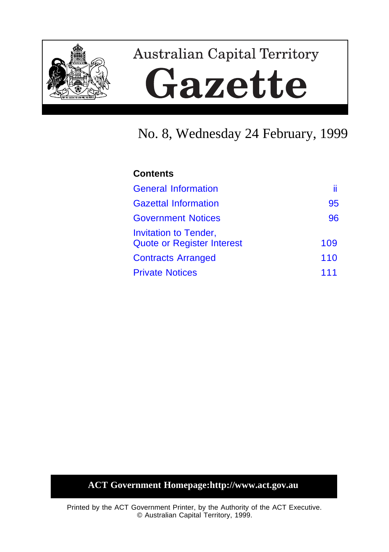

# **Australian Capital Territory** Gazette

# No. 8, Wednesday 24 February, 1999

### **Contents**

| <b>General Information</b>                                        | ii  |
|-------------------------------------------------------------------|-----|
| <b>Gazettal Information</b>                                       | 95  |
| <b>Government Notices</b>                                         | 96  |
| <b>Invitation to Tender,</b><br><b>Quote or Register Interest</b> | 109 |
| <b>Contracts Arranged</b>                                         | 110 |
| <b>Private Notices</b>                                            | 111 |

### **ACT Government Homepage:http://www.act.gov.au**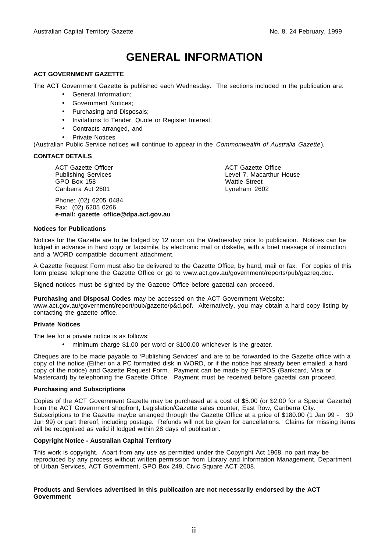### **GENERAL INFORMATION**

#### <span id="page-1-0"></span>**ACT GOVERNMENT GAZETTE**

The ACT Government Gazette is published each Wednesday. The sections included in the publication are:

- General Information;
- Government Notices;
- Purchasing and Disposals;
- Invitations to Tender, Quote or Register Interest;
- Contracts arranged, and
- **Private Notices**

(Australian Public Service notices will continue to appear in the Commonwealth of Australia Gazette).

#### **CONTACT DETAILS**

ACT Gazette Officer Publishing Services GPO Box 158 Canberra Act 2601

Phone: (02) 6205 0484 Fax: (02) 6205 0266 **e-mail: gazette\_office@dpa.act.gov.au**

ACT Gazette Office Level 7, Macarthur House Wattle Street Lyneham 2602

#### **Notices for Publications**

Notices for the Gazette are to be lodged by 12 noon on the Wednesday prior to publication. Notices can be lodged in advance in hard copy or facsimile, by electronic mail or diskette, with a brief message of instruction and a WORD compatible document attachment.

A Gazette Request Form must also be delivered to the Gazette Office, by hand, mail or fax. For copies of this form please telephone the Gazette Office or go to www.act.gov.au/government/reports/pub/gazreq.doc.

Signed notices must be sighted by the Gazette Office before gazettal can proceed.

#### **Purchasing and Disposal Codes** may be accessed on the ACT Government Website:

www.act.gov.au/government/report/pub/gazette/p&d.pdf. Alternatively, you may obtain a hard copy listing by contacting the gazette office.

#### **Private Notices**

The fee for a private notice is as follows:

• minimum charge \$1.00 per word or \$100.00 whichever is the greater.

Cheques are to be made payable to 'Publishing Services' and are to be forwarded to the Gazette office with a copy of the notice (Either on a PC formatted disk in WORD, or if the notice has already been emailed, a hard copy of the notice) and Gazette Request Form. Payment can be made by EFTPOS (Bankcard, Visa or Mastercard) by telephoning the Gazette Office. Payment must be received before gazettal can proceed.

#### **Purchasing and Subscriptions**

Copies of the ACT Government Gazette may be purchased at a cost of \$5.00 (or \$2.00 for a Special Gazette) from the ACT Government shopfront, Legislation/Gazette sales counter, East Row, Canberra City. Subscriptions to the Gazette maybe arranged through the Gazette Office at a price of \$180.00 (1 Jan 99 - 30 Jun 99) or part thereof, including postage. Refunds will not be given for cancellations. Claims for missing items will be recognised as valid if lodged within 28 days of publication.

#### **Copyright Notice - Australian Capital Territory**

This work is copyright. Apart from any use as permitted under the Copyright Act 1968, no part may be reproduced by any process without written permission from Library and Information Management, Department of Urban Services, ACT Government, GPO Box 249, Civic Square ACT 2608.

#### **Products and Services advertised in this publication are not necessarily endorsed by the ACT Government**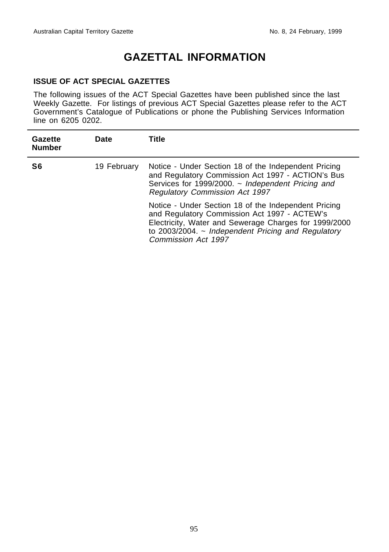### **GAZETTAL INFORMATION**

#### <span id="page-2-0"></span>**ISSUE OF ACT SPECIAL GAZETTES**

The following issues of the ACT Special Gazettes have been published since the last Weekly Gazette. For listings of previous ACT Special Gazettes please refer to the ACT Government's Catalogue of Publications or phone the Publishing Services Information line on 6205 0202.

| Gazette<br><b>Number</b> | <b>Date</b> | Title                                                                                                                                                                                                                                           |
|--------------------------|-------------|-------------------------------------------------------------------------------------------------------------------------------------------------------------------------------------------------------------------------------------------------|
| S6                       | 19 February | Notice - Under Section 18 of the Independent Pricing<br>and Regulatory Commission Act 1997 - ACTION's Bus<br>Services for 1999/2000. $\sim$ Independent Pricing and<br><b>Regulatory Commission Act 1997</b>                                    |
|                          |             | Notice - Under Section 18 of the Independent Pricing<br>and Regulatory Commission Act 1997 - ACTEW's<br>Electricity, Water and Sewerage Charges for 1999/2000<br>to 2003/2004. $\sim$ Independent Pricing and Regulatory<br>Commission Act 1997 |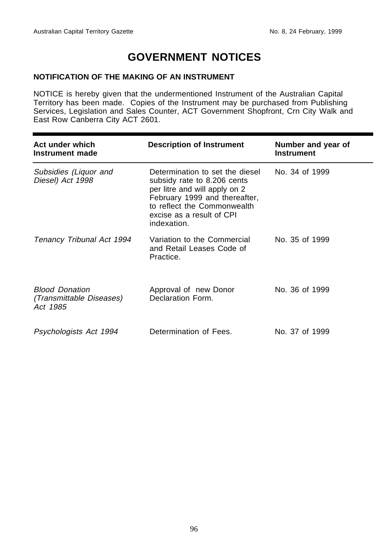#### <span id="page-3-0"></span>**NOTIFICATION OF THE MAKING OF AN INSTRUMENT**

NOTICE is hereby given that the undermentioned Instrument of the Australian Capital Territory has been made. Copies of the Instrument may be purchased from Publishing Services, Legislation and Sales Counter, ACT Government Shopfront, Crn City Walk and East Row Canberra City ACT 2601.

| Act under which<br>Instrument made                            | <b>Description of Instrument</b>                                                                                                                                                                            | Number and year of<br><b>Instrument</b> |
|---------------------------------------------------------------|-------------------------------------------------------------------------------------------------------------------------------------------------------------------------------------------------------------|-----------------------------------------|
| Subsidies (Liquor and<br>Diesel) Act 1998                     | Determination to set the diesel<br>subsidy rate to 8.206 cents<br>per litre and will apply on 2<br>February 1999 and thereafter,<br>to reflect the Commonwealth<br>excise as a result of CPI<br>indexation. | No. 34 of 1999                          |
| Tenancy Tribunal Act 1994                                     | Variation to the Commercial<br>and Retail Leases Code of<br>Practice.                                                                                                                                       | No. 35 of 1999                          |
| <b>Blood Donation</b><br>(Transmittable Diseases)<br>Act 1985 | Approval of new Donor<br>Declaration Form.                                                                                                                                                                  | No. 36 of 1999                          |
| Psychologists Act 1994                                        | Determination of Fees.                                                                                                                                                                                      | No. 37 of 1999                          |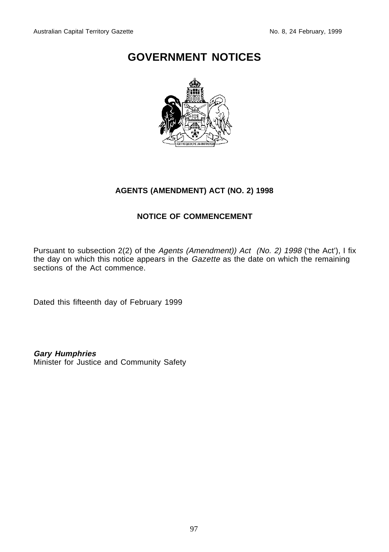

#### **AGENTS (AMENDMENT) ACT (NO. 2) 1998**

#### **NOTICE OF COMMENCEMENT**

Pursuant to subsection 2(2) of the Agents (Amendment)) Act (No. 2) 1998 ('the Act'), I fix the day on which this notice appears in the *Gazette* as the date on which the remaining sections of the Act commence.

Dated this fifteenth day of February 1999

**Gary Humphries**

Minister for Justice and Community Safety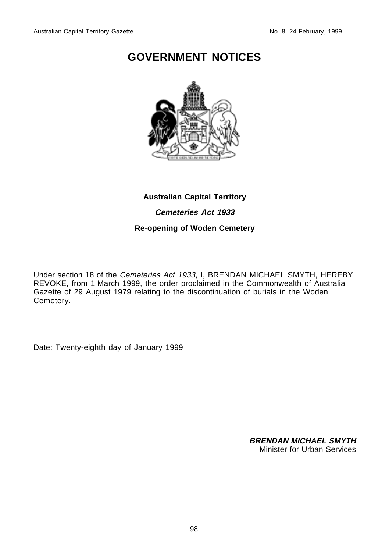

#### **Australian Capital Territory**

**Cemeteries Act 1933**

#### **Re-opening of Woden Cemetery**

Under section 18 of the Cemeteries Act 1933, I, BRENDAN MICHAEL SMYTH, HEREBY REVOKE, from 1 March 1999, the order proclaimed in the Commonwealth of Australia Gazette of 29 August 1979 relating to the discontinuation of burials in the Woden Cemetery.

Date: Twenty-eighth day of January 1999

**BRENDAN MICHAEL SMYTH** Minister for Urban Services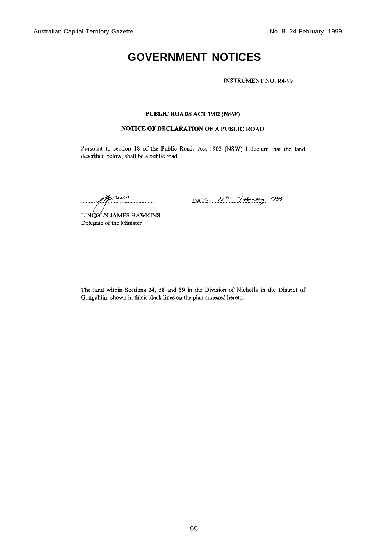**INSTRUMENT NO. R4/99** 

#### PUBLIC ROADS ACT 1902 (NSW)

#### NOTICE OF DECLARATION OF A PUBLIC ROAD

Pursuant to section 18 of the Public Roads Act 1902 (NSW) I declare that the land described below, shall be a public road.

Acour

DATE  $/2^{14}$  7 aloneary 1999

LINCOLN JAMES HAWKINS Delegate of the Minister

The land within Sections 24, 58 and 59 in the Division of Nicholls in the District of Gungahlin, shown in thick black lines on the plan annexed hereto.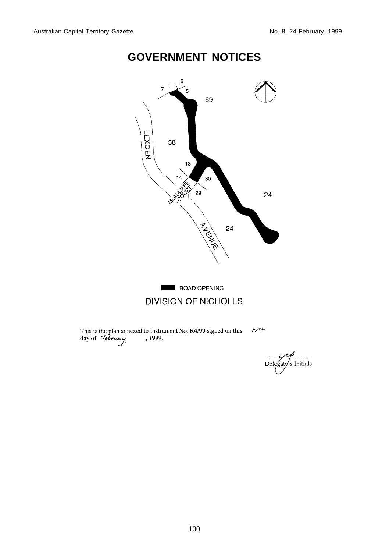

Delegate's Initials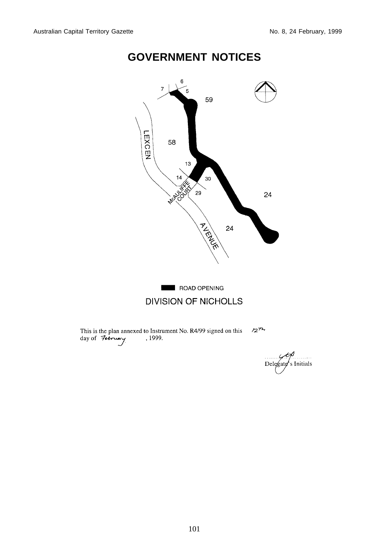

Delegate's Initials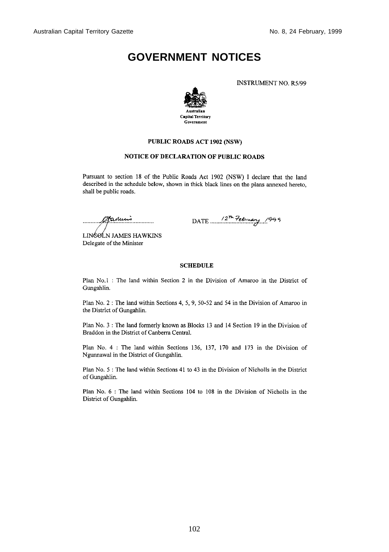**INSTRUMENT NO. R5/99** 



#### PUBLIC ROADS ACT 1902 (NSW)

#### NOTICE OF DECLARATION OF PUBLIC ROADS

Pursuant to section 18 of the Public Roads Act 1902 (NSW) I declare that the land described in the schedule below, shown in thick black lines on the plans annexed hereto, shall be public roads.

Stanuis . . . . . . . . . . .

DATE 2th February 1999

LINGOLN JAMES HAWKINS Delegate of the Minister

#### **SCHEDULE**

Plan No.1 : The land within Section 2 in the Division of Amaroo in the District of Gungahlin.

Plan No. 2: The land within Sections 4, 5, 9, 50-52 and 54 in the Division of Amaroo in the District of Gungahlin.

Plan No. 3 : The land formerly known as Blocks 13 and 14 Section 19 in the Division of Braddon in the District of Canberra Central.

Plan No. 4 : The land within Sections 136, 137, 170 and 173 in the Division of Ngunnawal in the District of Gungahlin.

Plan No. 5 : The land within Sections 41 to 43 in the Division of Nicholls in the District of Gungahlin.

Plan No. 6 : The land within Sections 104 to 108 in the Division of Nicholls in the District of Gungahlin.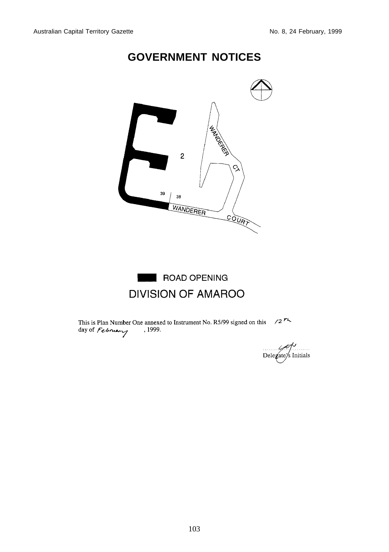

ROAD OPENING **DIVISION OF AMAROO** 

This is Plan Number One annexed to Instrument No. R5/99 signed on this  $\frac{72 \pi}{4}$ day of February 1999.

/----------<br>: Initials Delegate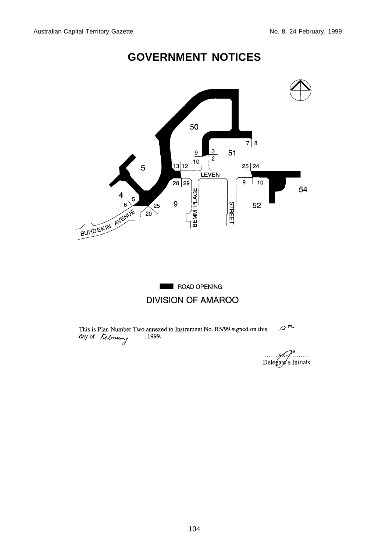

### ROAD OPENING **DIVISION OF AMAROO**

This is Plan Number Two annexed to Instrument No. R5/99 signed on this day of  $\sqrt{\mathcal{L}$  Orleans  $12^{7}$ 

Delegate's Initials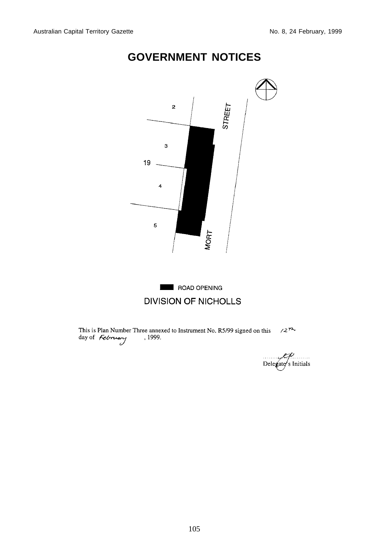

This is Plan Number Three annexed to Instrument No. R5/99 signed on this  $\sqrt{27}$  day of *February*, 1999.

Delegate s Initials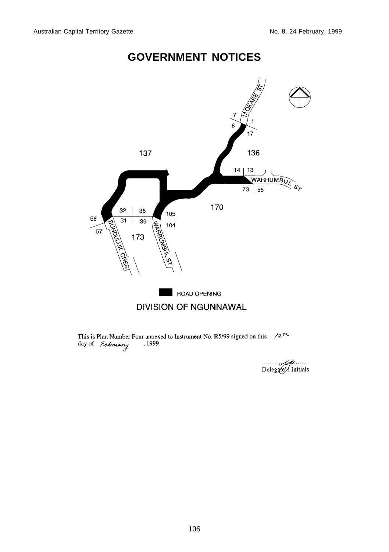

This is Plan Number Four annexed to Instrument No. R5/99 signed on this  $\sqrt{27}$ day of February , 1999

Delegate's Initials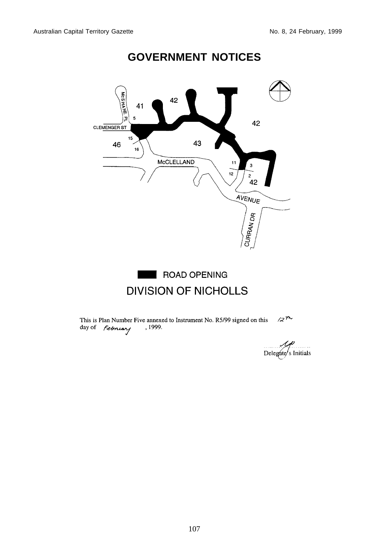

ROAD OPENING **DIVISION OF NICHOLLS** 

This is Plan Number Five annexed to Instrument No. R5/99 signed on this day of *february*, 1999.  $2<sup>n</sup>$ 

Delegate s Initials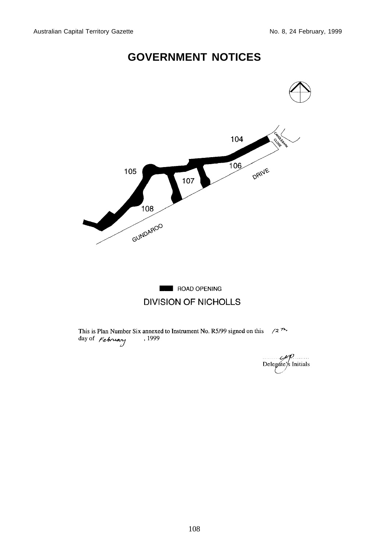

 $Delegate's$  Initials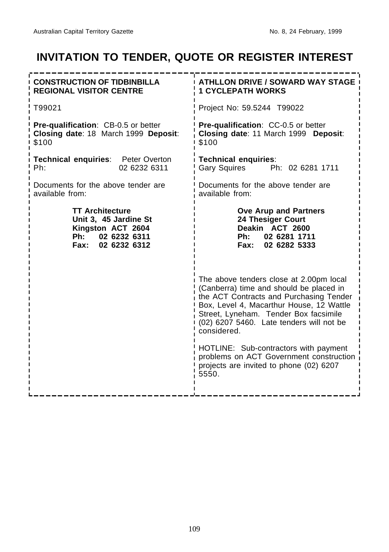### **INVITATION TO TENDER, QUOTE OR REGISTER INTEREST**

<span id="page-16-0"></span>

| <b>CONSTRUCTION OF TIDBINBILLA</b><br><b>REGIONAL VISITOR CENTRE</b>                                                | <b>ATHLLON DRIVE / SOWARD WAY STAGE</b><br><b>1 CYCLEPATH WORKS</b>                                                                                                                                                                                                           |  |
|---------------------------------------------------------------------------------------------------------------------|-------------------------------------------------------------------------------------------------------------------------------------------------------------------------------------------------------------------------------------------------------------------------------|--|
| T99021                                                                                                              | Project No: 59.5244 T99022                                                                                                                                                                                                                                                    |  |
| Pre-qualification: CB-0.5 or better<br>Closing date: 18 March 1999 Deposit:<br>\$100                                | Pre-qualification: CC-0.5 or better<br>Closing date: 11 March 1999 Deposit:<br>\$100                                                                                                                                                                                          |  |
| Technical enquiries: Peter Overton<br>Ph:<br>02 6232 6311                                                           | <b>Technical enquiries:</b><br>Gary Squires Ph: 02 6281 1711                                                                                                                                                                                                                  |  |
| Documents for the above tender are<br>available from:                                                               | Documents for the above tender are<br>available from:                                                                                                                                                                                                                         |  |
| <b>TT Architecture</b><br>Unit 3, 45 Jardine St<br>Kingston ACT 2604<br>02 6232 6311<br>Ph:<br>02 6232 6312<br>Fax: | <b>Ove Arup and Partners</b><br><b>24 Thesiger Court</b><br>Deakin ACT 2600<br>Ph: 02 6281 1711<br>02 6282 5333<br>Fax:                                                                                                                                                       |  |
|                                                                                                                     | The above tenders close at 2.00pm local<br>(Canberra) time and should be placed in<br>the ACT Contracts and Purchasing Tender<br>Box, Level 4, Macarthur House, 12 Wattle<br>Street, Lyneham. Tender Box facsimile<br>(02) 6207 5460. Late tenders will not be<br>considered. |  |
|                                                                                                                     | HOTLINE: Sub-contractors with payment<br>problems on ACT Government construction<br>projects are invited to phone (02) 6207<br>5550.                                                                                                                                          |  |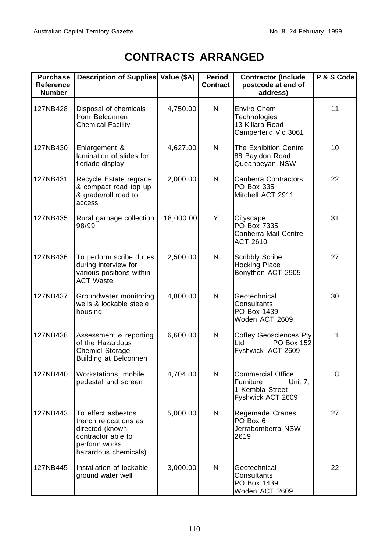## **CONTRACTS ARRANGED**

<span id="page-17-0"></span>

| <b>Purchase</b><br>Reference<br><b>Number</b> | Description of Supplies Value (\$A)                                                                                           |           | Period<br><b>Contract</b> | <b>Contractor (Include</b><br>postcode at end of<br>address)                             | P & S Code |
|-----------------------------------------------|-------------------------------------------------------------------------------------------------------------------------------|-----------|---------------------------|------------------------------------------------------------------------------------------|------------|
| 127NB428                                      | Disposal of chemicals<br>from Belconnen<br><b>Chemical Facility</b>                                                           | 4,750.00  | N                         | Enviro Chem<br>Technologies<br>13 Killara Road<br>Camperfeild Vic 3061                   | 11         |
| 127NB430                                      | Enlargement &<br>lamination of slides for<br>floriade display                                                                 | 4,627.00  | N                         | The Exhibition Centre<br>88 Bayldon Road<br>Queanbeyan NSW                               | 10         |
| 127NB431                                      | Recycle Estate regrade<br>& compact road top up<br>& grade/roll road to<br>access                                             | 2,000.00  | N                         | Canberra Contractors<br>PO Box 335<br>Mitchell ACT 2911                                  | 22         |
| 127NB435                                      | Rural garbage collection<br>98/99                                                                                             | 18,000.00 | Y                         | Cityscape<br>PO Box 7335<br>Canberra Mail Centre<br>ACT 2610                             | 31         |
| 127NB436                                      | To perform scribe duties<br>during interview for<br>various positions within<br><b>ACT Waste</b>                              | 2,500.00  | N                         | <b>Scribbly Scribe</b><br><b>Hocking Place</b><br>Bonython ACT 2905                      | 27         |
| 127NB437                                      | Groundwater monitoring<br>wells & lockable steele<br>housing                                                                  | 4,800.00  | N                         | Geotechnical<br>Consultants<br>PO Box 1439<br>Woden ACT 2609                             | 30         |
| 127NB438                                      | Assessment & reporting<br>of the Hazardous<br>Chemicl Storage<br>Building at Belconnen                                        | 6,600.00  | N                         | <b>Coffey Geosciences Pty</b><br>PO Box 152<br>Ltd<br>Fyshwick ACT 2609                  | 11         |
| 127NB440                                      | Workstations, mobile<br>pedestal and screen                                                                                   | 4,704.00  | N                         | <b>Commercial Office</b><br>Furniture<br>Unit 7,<br>1 Kembla Street<br>Fyshwick ACT 2609 | 18         |
| 127NB443                                      | To effect asbestos<br>trench relocations as<br>directed (known<br>contractor able to<br>perform works<br>hazardous chemicals) | 5,000.00  | N                         | Regemade Cranes<br>PO Box 6<br>Jerrabomberra NSW<br>2619                                 | 27         |
| 127NB445                                      | Installation of lockable<br>ground water well                                                                                 | 3,000.00  | N                         | Geotechnical<br>Consultants<br>PO Box 1439<br>Woden ACT 2609                             | 22         |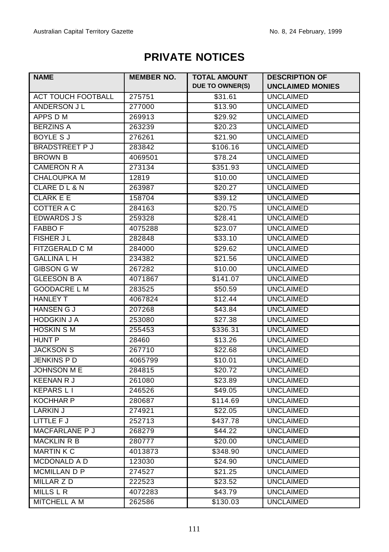### **PRIVATE NOTICES**

<span id="page-18-0"></span>

| <b>NAME</b>          | <b>MEMBER NO.</b> | <b>TOTAL AMOUNT</b> | <b>DESCRIPTION OF</b>   |
|----------------------|-------------------|---------------------|-------------------------|
|                      |                   | DUE TO OWNER(S)     | <b>UNCLAIMED MONIES</b> |
| ACT TOUCH FOOTBALL   | 275751            | \$31.61             | <b>UNCLAIMED</b>        |
| ANDERSON JL          | 277000            | \$13.90             | <b>UNCLAIMED</b>        |
| APPS D M             | 269913            | \$29.92             | <b>UNCLAIMED</b>        |
| <b>BERZINS A</b>     | 263239            | \$20.23             | <b>UNCLAIMED</b>        |
| BOYLE S J            | 276261            | \$21.90             | <b>UNCLAIMED</b>        |
| <b>BRADSTREET PJ</b> | 283842            | \$106.16            | <b>UNCLAIMED</b>        |
| <b>BROWN B</b>       | 4069501           | \$78.24             | <b>UNCLAIMED</b>        |
| <b>CAMERON R A</b>   | 273134            | \$351.93            | <b>UNCLAIMED</b>        |
| <b>CHALOUPKA M</b>   | 12819             | \$10.00             | <b>UNCLAIMED</b>        |
| CLARE D L & N        | 263987            | \$20.27             | <b>UNCLAIMED</b>        |
| <b>CLARK E E</b>     | 158704            | \$39.12             | <b>UNCLAIMED</b>        |
| COTTER A C           | 284163            | \$20.75             | <b>UNCLAIMED</b>        |
| <b>EDWARDS J S</b>   | 259328            | \$28.41             | <b>UNCLAIMED</b>        |
| <b>FABBO F</b>       | 4075288           | \$23.07             | <b>UNCLAIMED</b>        |
| <b>FISHER JL</b>     | 282848            | \$33.10             | <b>UNCLAIMED</b>        |
| FITZGERALD C M       | 284000            | \$29.62             | <b>UNCLAIMED</b>        |
| <b>GALLINA L H</b>   | 234382            | \$21.56             | <b>UNCLAIMED</b>        |
| GIBSON G W           | 267282            | \$10.00             | <b>UNCLAIMED</b>        |
| <b>GLEESON B A</b>   | 4071867           | \$141.07            | <b>UNCLAIMED</b>        |
| <b>GOODACRE L M</b>  | 283525            | \$50.59             | <b>UNCLAIMED</b>        |
| <b>HANLEY T</b>      | 4067824           | \$12.44             | <b>UNCLAIMED</b>        |
| <b>HANSEN G J</b>    | 207268            | \$43.84             | <b>UNCLAIMED</b>        |
| <b>HODGKIN J A</b>   | 253080            | \$27.38             | <b>UNCLAIMED</b>        |
| <b>HOSKIN S M</b>    | 255453            | \$336.31            | <b>UNCLAIMED</b>        |
| HUNT P               | 28460             | \$13.26             | <b>UNCLAIMED</b>        |
| <b>JACKSON S</b>     | 267710            | \$22.68             | <b>UNCLAIMED</b>        |
| JENKINS P D          | 4065799           | \$10.01             | <b>UNCLAIMED</b>        |
| JOHNSON M E          | 284815            | \$20.72             | <b>UNCLAIMED</b>        |
| <b>KEENAN R J</b>    | 261080            | \$23.89             | <b>UNCLAIMED</b>        |
| <b>KEPARS L I</b>    | 246526            | \$49.05             | <b>UNCLAIMED</b>        |
| <b>KOCHHAR P</b>     | 280687            | \$114.69            | <b>UNCLAIMED</b>        |
| <b>LARKIN J</b>      | 274921            | \$22.05             | <b>UNCLAIMED</b>        |
| LITTLE F J           | 252713            | \$437.78            | <b>UNCLAIMED</b>        |
| MACFARLANE P J       | 268279            | \$44.22             | <b>UNCLAIMED</b>        |
| MACKLIN R B          | 280777            | \$20.00             | <b>UNCLAIMED</b>        |
| <b>MARTIN K C</b>    | 4013873           | \$348.90            | <b>UNCLAIMED</b>        |
| MCDONALD A D         | 123030            | \$24.90             | <b>UNCLAIMED</b>        |
| <b>MCMILLAN D P</b>  | 274527            | \$21.25             | <b>UNCLAIMED</b>        |
| <b>MILLAR Z D</b>    | 222523            | \$23.52             | <b>UNCLAIMED</b>        |
| MILLS L R            | 4072283           | \$43.79             | <b>UNCLAIMED</b>        |
| MITCHELL A M         | 262586            | \$130.03            | <b>UNCLAIMED</b>        |